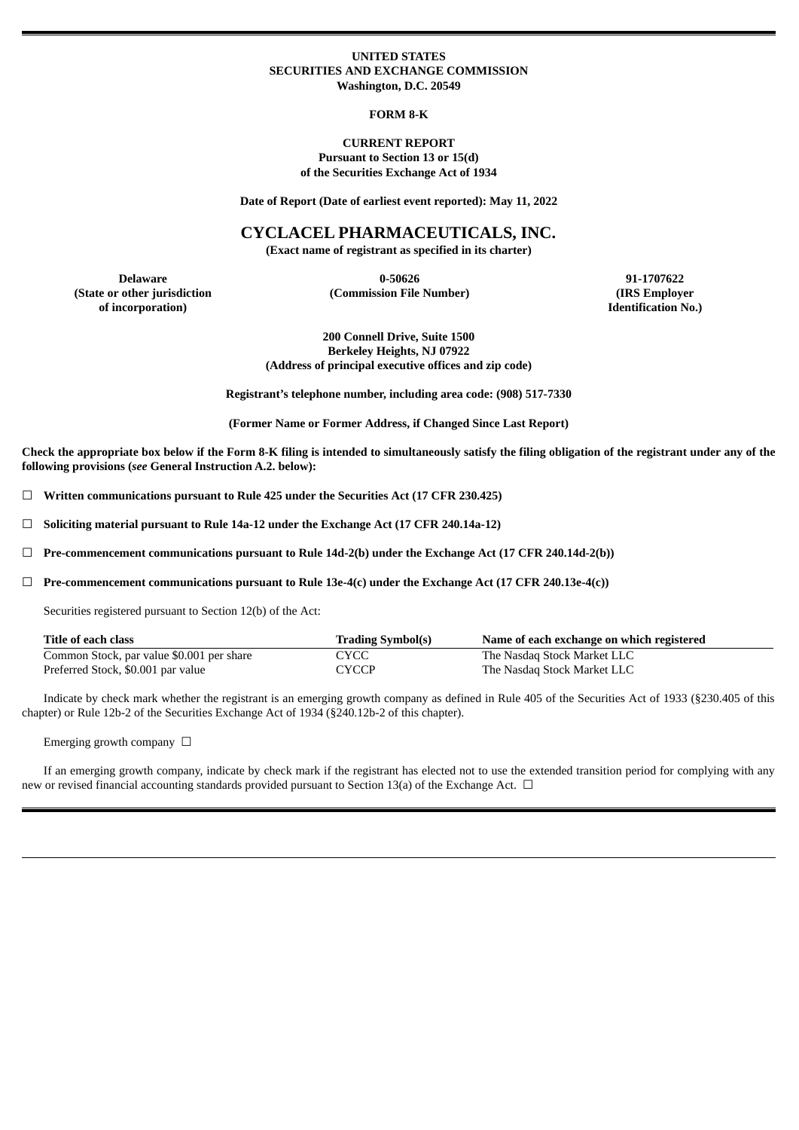#### **UNITED STATES SECURITIES AND EXCHANGE COMMISSION Washington, D.C. 20549**

#### **FORM 8-K**

#### **CURRENT REPORT Pursuant to Section 13 or 15(d) of the Securities Exchange Act of 1934**

**Date of Report (Date of earliest event reported): May 11, 2022**

#### **CYCLACEL PHARMACEUTICALS, INC.**

**(Exact name of registrant as specified in its charter)**

**(State or other jurisdiction of incorporation)**

**Delaware 0-50626 91-1707622 (Commission File Number) (IRS Employer**

**Identification No.)**

**200 Connell Drive, Suite 1500 Berkeley Heights, NJ 07922 (Address of principal executive offices and zip code)**

**Registrant's telephone number, including area code: (908) 517-7330**

**(Former Name or Former Address, if Changed Since Last Report)**

Check the appropriate box below if the Form 8-K filing is intended to simultaneously satisfy the filing obligation of the registrant under any of the **following provisions (***see* **General Instruction A.2. below):**

☐ **Written communications pursuant to Rule 425 under the Securities Act (17 CFR 230.425)**

☐ **Soliciting material pursuant to Rule 14a-12 under the Exchange Act (17 CFR 240.14a-12)**

☐ **Pre-commencement communications pursuant to Rule 14d-2(b) under the Exchange Act (17 CFR 240.14d-2(b))**

☐ **Pre-commencement communications pursuant to Rule 13e-4(c) under the Exchange Act (17 CFR 240.13e-4(c))**

Securities registered pursuant to Section 12(b) of the Act:

| Title of each class                       | <b>Trading Symbol(s)</b> | Name of each exchange on which registered |
|-------------------------------------------|--------------------------|-------------------------------------------|
| Common Stock, par value \$0.001 per share | CYCC                     | The Nasdag Stock Market LLC               |
| Preferred Stock, \$0.001 par value        | CYCCP.                   | The Nasdag Stock Market LLC               |

Indicate by check mark whether the registrant is an emerging growth company as defined in Rule 405 of the Securities Act of 1933 (§230.405 of this chapter) or Rule 12b-2 of the Securities Exchange Act of 1934 (§240.12b-2 of this chapter).

Emerging growth company  $\Box$ 

If an emerging growth company, indicate by check mark if the registrant has elected not to use the extended transition period for complying with any new or revised financial accounting standards provided pursuant to Section 13(a) of the Exchange Act.  $\Box$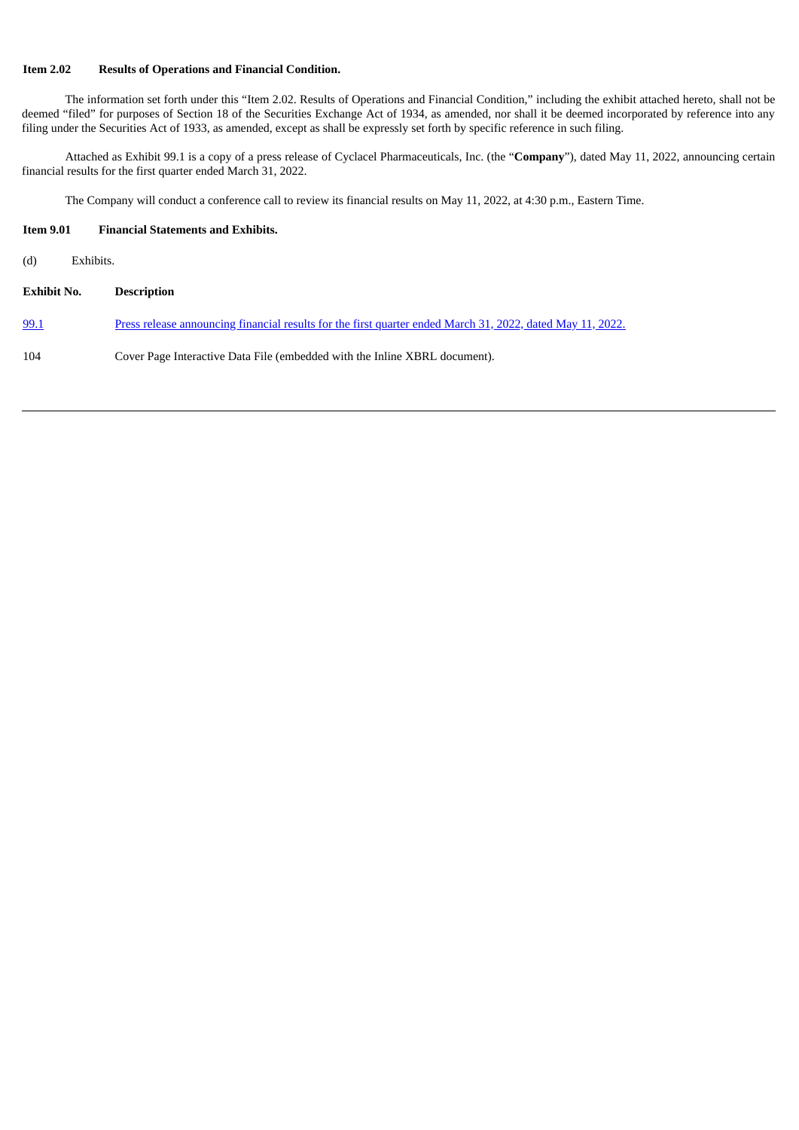# **Item 2.02 Results of Operations and Financial Condition.**

The information set forth under this "Item 2.02. Results of Operations and Financial Condition," including the exhibit attached hereto, shall not be deemed "filed" for purposes of Section 18 of the Securities Exchange Act of 1934, as amended, nor shall it be deemed incorporated by reference into any filing under the Securities Act of 1933, as amended, except as shall be expressly set forth by specific reference in such filing.

Attached as Exhibit 99.1 is a copy of a press release of Cyclacel Pharmaceuticals, Inc. (the "**Company**"), dated May 11, 2022, announcing certain financial results for the first quarter ended March 31, 2022.

The Company will conduct a conference call to review its financial results on May 11, 2022, at 4:30 p.m., Eastern Time.

| <b>Item 9.01</b>   | <b>Financial Statements and Exhibits.</b>                                                                  |
|--------------------|------------------------------------------------------------------------------------------------------------|
| (d)                | Exhibits.                                                                                                  |
| <b>Exhibit No.</b> | <b>Description</b>                                                                                         |
| 99.1               | Press release announcing financial results for the first quarter ended March 31, 2022, dated May 11, 2022. |
| 104                | Cover Page Interactive Data File (embedded with the Inline XBRL document).                                 |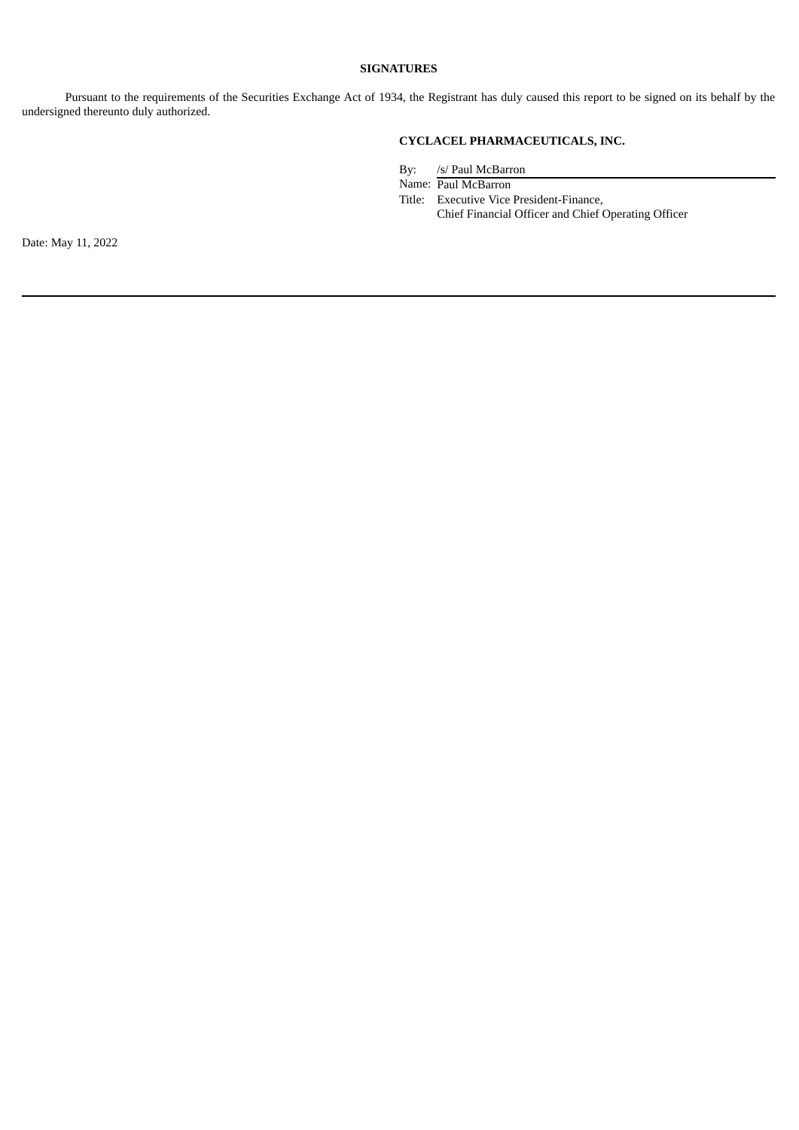# **SIGNATURES**

Pursuant to the requirements of the Securities Exchange Act of 1934, the Registrant has duly caused this report to be signed on its behalf by the undersigned thereunto duly authorized.

# **CYCLACEL PHARMACEUTICALS, INC.**

By: /s/ Paul McBarron

Name: Paul McBarron

Title: Executive Vice President-Finance, Chief Financial Officer and Chief Operating Officer

Date: May 11, 2022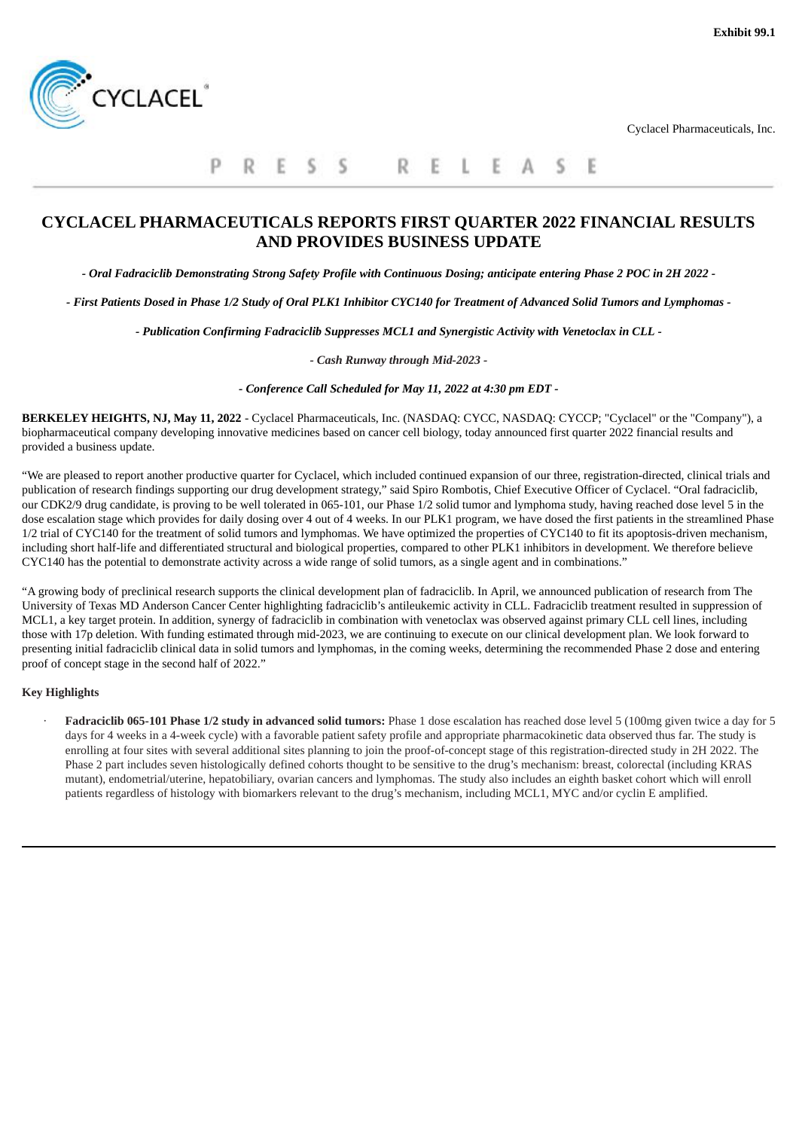<span id="page-3-0"></span>

Cyclacel Pharmaceuticals, Inc.

#### R Ε p R E  $S_S$ L E A E

# **CYCLACEL PHARMACEUTICALS REPORTS FIRST QUARTER 2022 FINANCIAL RESULTS AND PROVIDES BUSINESS UPDATE**

- Oral Fadraciclib Demonstrating Strong Safety Profile with Continuous Dosing; anticipate entering Phase 2 POC in 2H 2022 -

- First Patients Dosed in Phase 1/2 Study of Oral PLK1 Inhibitor CYC140 for Treatment of Advanced Solid Tumors and Lymphomas -

*- Publication Confirming Fadraciclib Suppresses MCL1 and Synergistic Activity with Venetoclax in CLL -*

*- Cash Runway through Mid-2023 -*

*- Conference Call Scheduled for May 11, 2022 at 4:30 pm EDT -*

**BERKELEY HEIGHTS, NJ, May 11, 2022** - Cyclacel Pharmaceuticals, Inc. (NASDAQ: CYCC, NASDAQ: CYCCP; "Cyclacel" or the "Company"), a biopharmaceutical company developing innovative medicines based on cancer cell biology, today announced first quarter 2022 financial results and provided a business update.

"We are pleased to report another productive quarter for Cyclacel, which included continued expansion of our three, registration-directed, clinical trials and publication of research findings supporting our drug development strategy," said Spiro Rombotis, Chief Executive Officer of Cyclacel. "Oral fadraciclib, our CDK2/9 drug candidate, is proving to be well tolerated in 065-101, our Phase 1/2 solid tumor and lymphoma study, having reached dose level 5 in the dose escalation stage which provides for daily dosing over 4 out of 4 weeks. In our PLK1 program, we have dosed the first patients in the streamlined Phase 1/2 trial of CYC140 for the treatment of solid tumors and lymphomas. We have optimized the properties of CYC140 to fit its apoptosis-driven mechanism, including short half-life and differentiated structural and biological properties, compared to other PLK1 inhibitors in development. We therefore believe CYC140 has the potential to demonstrate activity across a wide range of solid tumors, as a single agent and in combinations."

"A growing body of preclinical research supports the clinical development plan of fadraciclib. In April, we announced publication of research from The University of Texas MD Anderson Cancer Center highlighting fadraciclib's antileukemic activity in CLL. Fadraciclib treatment resulted in suppression of MCL1, a key target protein. In addition, synergy of fadraciclib in combination with venetoclax was observed against primary CLL cell lines, including those with 17p deletion. With funding estimated through mid-2023, we are continuing to execute on our clinical development plan. We look forward to presenting initial fadraciclib clinical data in solid tumors and lymphomas, in the coming weeks, determining the recommended Phase 2 dose and entering proof of concept stage in the second half of 2022."

### **Key Highlights**

· **Fadraciclib 065-101 Phase 1/2 study in advanced solid tumors:** Phase 1 dose escalation has reached dose level 5 (100mg given twice a day for 5 days for 4 weeks in a 4-week cycle) with a favorable patient safety profile and appropriate pharmacokinetic data observed thus far. The study is enrolling at four sites with several additional sites planning to join the proof-of-concept stage of this registration-directed study in 2H 2022. The Phase 2 part includes seven histologically defined cohorts thought to be sensitive to the drug's mechanism: breast, colorectal (including KRAS mutant), endometrial/uterine, hepatobiliary, ovarian cancers and lymphomas. The study also includes an eighth basket cohort which will enroll patients regardless of histology with biomarkers relevant to the drug's mechanism, including MCL1, MYC and/or cyclin E amplified.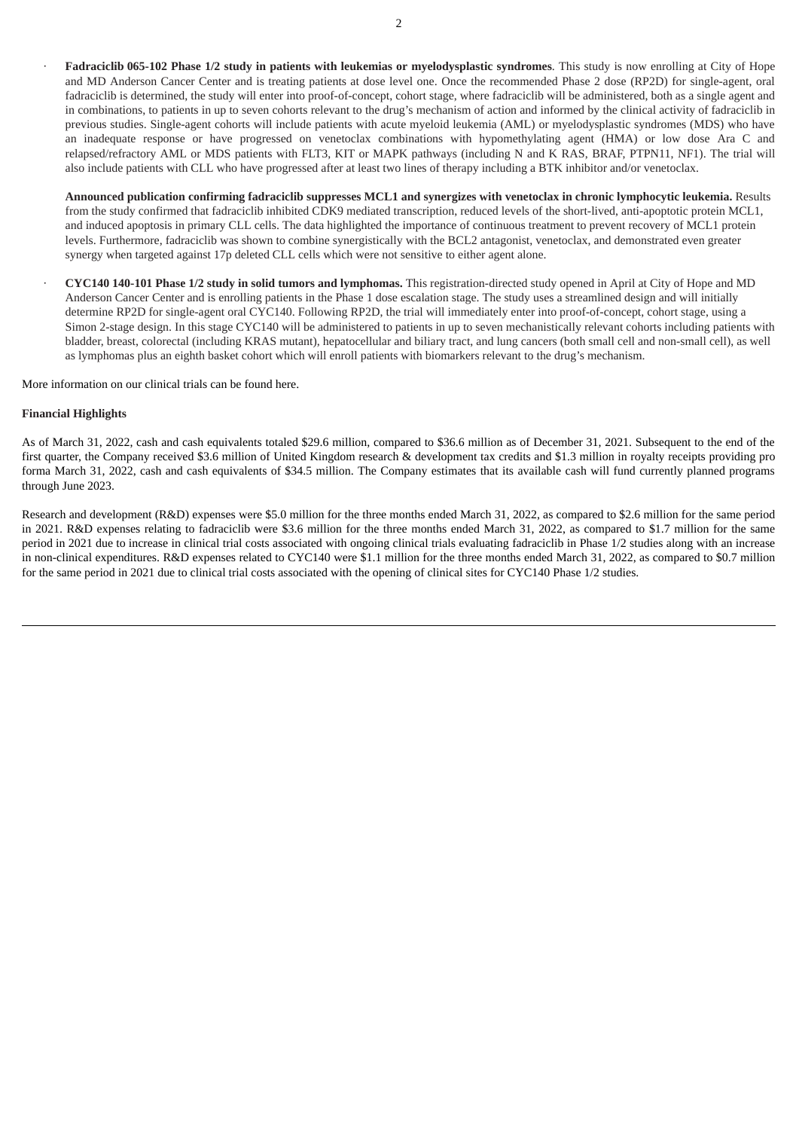- · **Fadraciclib 065-102 Phase 1/2 study in patients with leukemias or myelodysplastic syndromes**. This study is now enrolling at City of Hope and MD Anderson Cancer Center and is treating patients at dose level one. Once the recommended Phase 2 dose (RP2D) for single-agent, oral fadraciclib is determined, the study will enter into proof-of-concept, cohort stage, where fadraciclib will be administered, both as a single agent and in combinations, to patients in up to seven cohorts relevant to the drug's mechanism of action and informed by the clinical activity of fadraciclib in previous studies. Single-agent cohorts will include patients with acute myeloid leukemia (AML) or myelodysplastic syndromes (MDS) who have an inadequate response or have progressed on venetoclax combinations with hypomethylating agent (HMA) or low dose Ara C and relapsed/refractory AML or MDS patients with FLT3, KIT or MAPK pathways (including N and K RAS, BRAF, PTPN11, NF1). The trial will also include patients with CLL who have progressed after at least two lines of therapy including a BTK inhibitor and/or venetoclax.
	- Announced publication confirming fadraciclib suppresses MCL1 and synergizes with venetoclax in chronic lymphocytic leukemia. Results from the study confirmed that fadraciclib inhibited CDK9 mediated transcription, reduced levels of the short-lived, anti-apoptotic protein MCL1, and induced apoptosis in primary CLL cells. The data highlighted the importance of continuous treatment to prevent recovery of MCL1 protein levels. Furthermore, fadraciclib was shown to combine synergistically with the BCL2 antagonist, venetoclax, and demonstrated even greater synergy when targeted against 17p deleted CLL cells which were not sensitive to either agent alone.
- · **CYC140 140-101 Phase 1/2 study in solid tumors and lymphomas.** This registration-directed study opened in April at City of Hope and MD Anderson Cancer Center and is enrolling patients in the Phase 1 dose escalation stage. The study uses a streamlined design and will initially determine RP2D for single-agent oral CYC140. Following RP2D, the trial will immediately enter into proof-of-concept, cohort stage, using a Simon 2-stage design. In this stage CYC140 will be administered to patients in up to seven mechanistically relevant cohorts including patients with bladder, breast, colorectal (including KRAS mutant), hepatocellular and biliary tract, and lung cancers (both small cell and non-small cell), as well as lymphomas plus an eighth basket cohort which will enroll patients with biomarkers relevant to the drug's mechanism.

More information on our clinical trials can be found here.

# **Financial Highlights**

As of March 31, 2022, cash and cash equivalents totaled \$29.6 million, compared to \$36.6 million as of December 31, 2021. Subsequent to the end of the first quarter, the Company received \$3.6 million of United Kingdom research & development tax credits and \$1.3 million in royalty receipts providing pro forma March 31, 2022, cash and cash equivalents of \$34.5 million. The Company estimates that its available cash will fund currently planned programs through June 2023.

Research and development (R&D) expenses were \$5.0 million for the three months ended March 31, 2022, as compared to \$2.6 million for the same period in 2021. R&D expenses relating to fadraciclib were \$3.6 million for the three months ended March 31, 2022, as compared to \$1.7 million for the same period in 2021 due to increase in clinical trial costs associated with ongoing clinical trials evaluating fadraciclib in Phase 1/2 studies along with an increase in non-clinical expenditures. R&D expenses related to CYC140 were \$1.1 million for the three months ended March 31, 2022, as compared to \$0.7 million for the same period in 2021 due to clinical trial costs associated with the opening of clinical sites for CYC140 Phase 1/2 studies.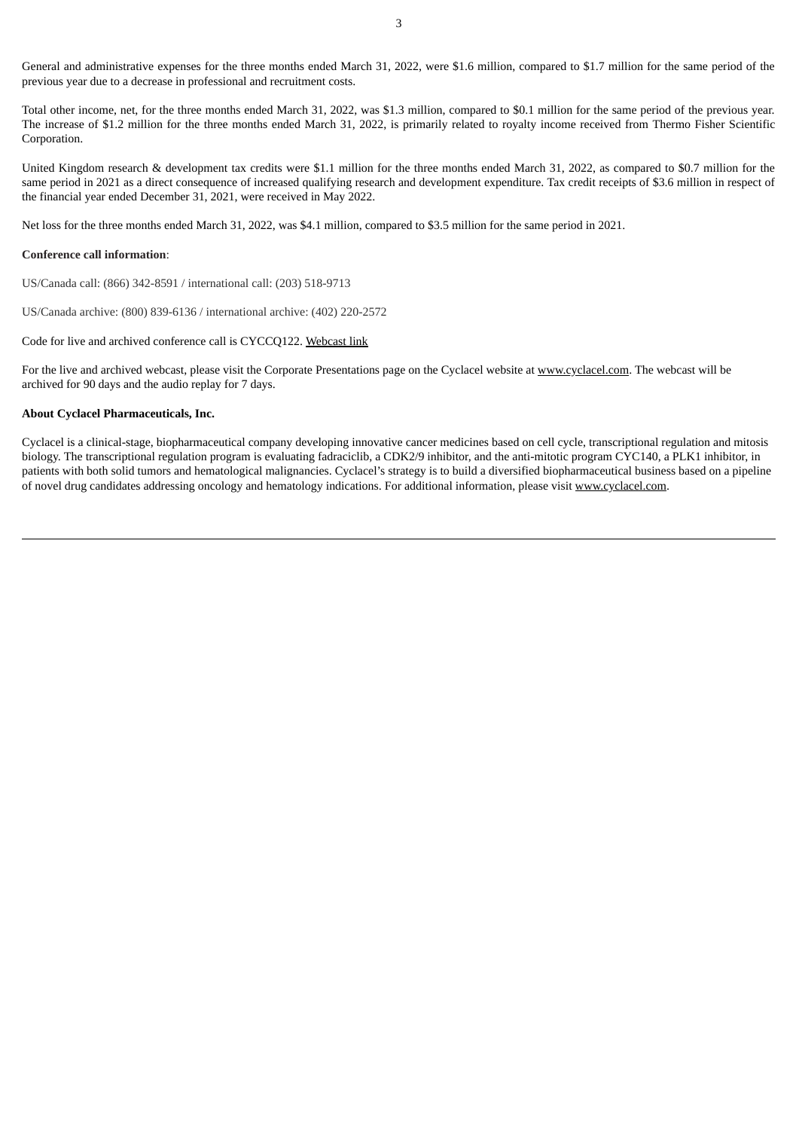Total other income, net, for the three months ended March 31, 2022, was \$1.3 million, compared to \$0.1 million for the same period of the previous year. The increase of \$1.2 million for the three months ended March 31, 2022, is primarily related to royalty income received from Thermo Fisher Scientific Corporation.

United Kingdom research & development tax credits were \$1.1 million for the three months ended March 31, 2022, as compared to \$0.7 million for the same period in 2021 as a direct consequence of increased qualifying research and development expenditure. Tax credit receipts of \$3.6 million in respect of the financial year ended December 31, 2021, were received in May 2022.

Net loss for the three months ended March 31, 2022, was \$4.1 million, compared to \$3.5 million for the same period in 2021.

#### **Conference call information**:

US/Canada call: (866) 342-8591 / international call: (203) 518-9713

US/Canada archive: (800) 839-6136 / international archive: (402) 220-2572

Code for live and archived conference call is CYCCQ122. Webcast link

For the live and archived webcast, please visit the Corporate Presentations page on the Cyclacel website at www.cyclacel.com. The webcast will be archived for 90 days and the audio replay for 7 days.

### **About Cyclacel Pharmaceuticals, Inc.**

Cyclacel is a clinical-stage, biopharmaceutical company developing innovative cancer medicines based on cell cycle, transcriptional regulation and mitosis biology. The transcriptional regulation program is evaluating fadraciclib, a CDK2/9 inhibitor, and the anti-mitotic program CYC140, a PLK1 inhibitor, in patients with both solid tumors and hematological malignancies. Cyclacel's strategy is to build a diversified biopharmaceutical business based on a pipeline of novel drug candidates addressing oncology and hematology indications. For additional information, please visit www.cyclacel.com.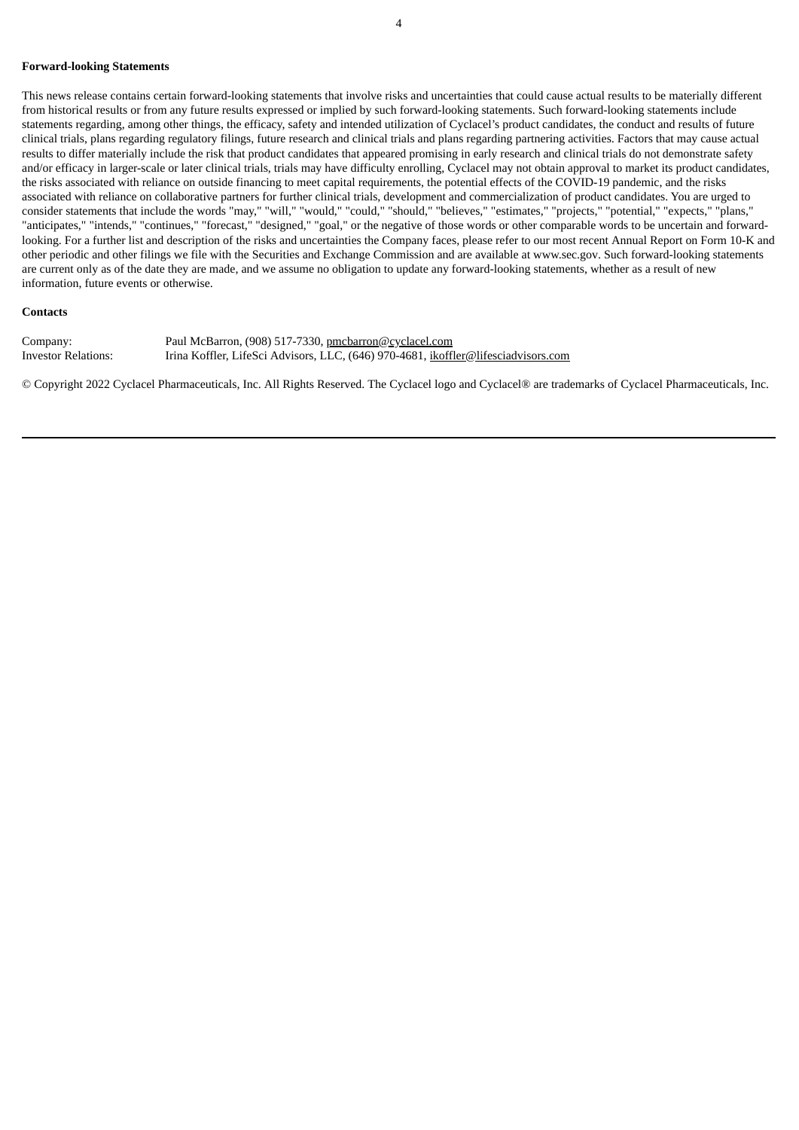#### **Forward-looking Statements**

This news release contains certain forward-looking statements that involve risks and uncertainties that could cause actual results to be materially different from historical results or from any future results expressed or implied by such forward-looking statements. Such forward-looking statements include statements regarding, among other things, the efficacy, safety and intended utilization of Cyclacel's product candidates, the conduct and results of future clinical trials, plans regarding regulatory filings, future research and clinical trials and plans regarding partnering activities. Factors that may cause actual results to differ materially include the risk that product candidates that appeared promising in early research and clinical trials do not demonstrate safety and/or efficacy in larger-scale or later clinical trials, trials may have difficulty enrolling, Cyclacel may not obtain approval to market its product candidates, the risks associated with reliance on outside financing to meet capital requirements, the potential effects of the COVID-19 pandemic, and the risks associated with reliance on collaborative partners for further clinical trials, development and commercialization of product candidates. You are urged to consider statements that include the words "may," "will," "would," "could," "should," "believes," "estimates," "projects," "potential," "expects," "plans," "anticipates," "intends," "continues," "forecast," "designed," "goal," or the negative of those words or other comparable words to be uncertain and forwardlooking. For a further list and description of the risks and uncertainties the Company faces, please refer to our most recent Annual Report on Form 10-K and other periodic and other filings we file with the Securities and Exchange Commission and are available at www.sec.gov. Such forward-looking statements are current only as of the date they are made, and we assume no obligation to update any forward-looking statements, whether as a result of new information, future events or otherwise.

#### **Contacts**

| Company:            | Paul McBarron, (908) 517-7330, pmcbarron@cyclacel.com                              |
|---------------------|------------------------------------------------------------------------------------|
| Investor Relations: | Irina Koffler, LifeSci Advisors, LLC, (646) 970-4681, ikoffler@lifesciadvisors.com |

© Copyright 2022 Cyclacel Pharmaceuticals, Inc. All Rights Reserved. The Cyclacel logo and Cyclacel® are trademarks of Cyclacel Pharmaceuticals, Inc.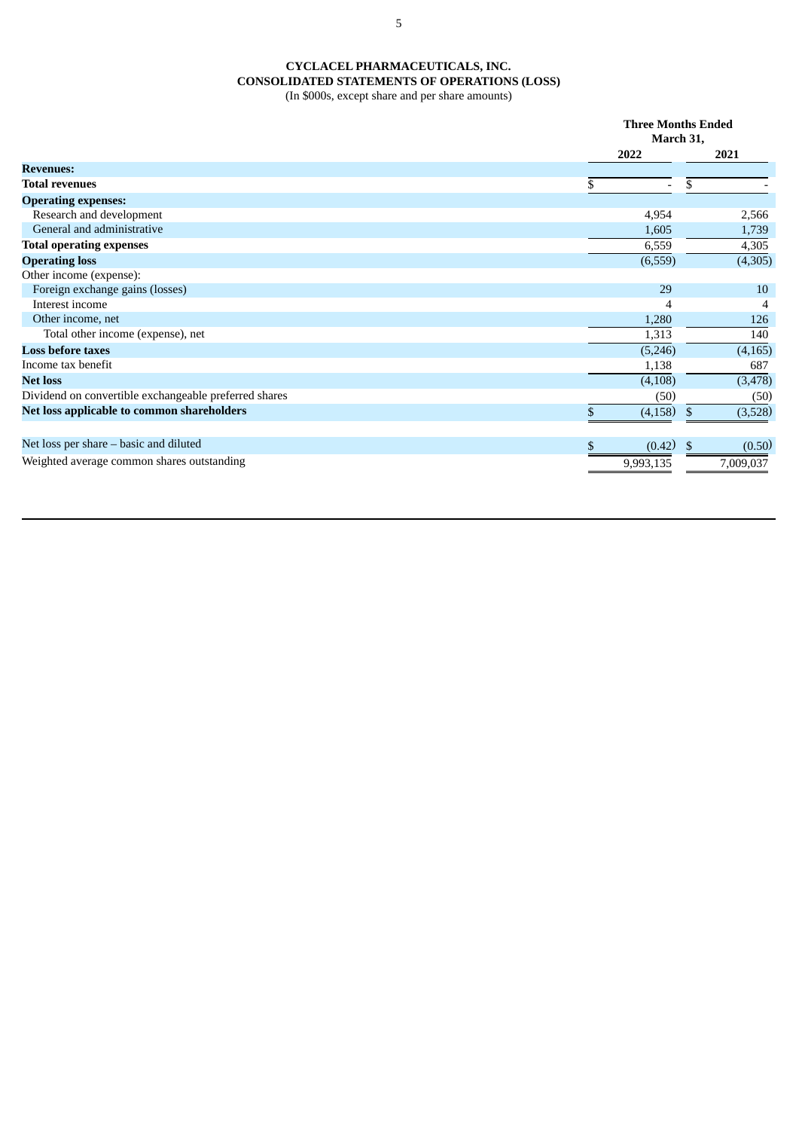# **CYCLACEL PHARMACEUTICALS, INC. CONSOLIDATED STATEMENTS OF OPERATIONS (LOSS)** (In \$000s, except share and per share amounts)

|                                                       |                                | <b>Three Months Ended</b><br>March 31, |  |  |
|-------------------------------------------------------|--------------------------------|----------------------------------------|--|--|
|                                                       | 2022                           | 2021                                   |  |  |
| <b>Revenues:</b>                                      |                                |                                        |  |  |
| <b>Total revenues</b>                                 | \$<br>$\overline{\phantom{a}}$ | \$                                     |  |  |
| <b>Operating expenses:</b>                            |                                |                                        |  |  |
| Research and development                              | 4,954                          | 2,566                                  |  |  |
| General and administrative                            | 1,605                          | 1,739                                  |  |  |
| <b>Total operating expenses</b>                       | 6,559                          | 4,305                                  |  |  |
| <b>Operating loss</b>                                 | (6, 559)                       | (4,305)                                |  |  |
| Other income (expense):                               |                                |                                        |  |  |
| Foreign exchange gains (losses)                       | 29                             | 10                                     |  |  |
| Interest income                                       | $\overline{4}$                 |                                        |  |  |
| Other income, net                                     | 1,280                          | 126                                    |  |  |
| Total other income (expense), net                     | 1,313                          | 140                                    |  |  |
| <b>Loss before taxes</b>                              | (5,246)                        | (4, 165)                               |  |  |
| Income tax benefit                                    | 1,138                          | 687                                    |  |  |
| <b>Net loss</b>                                       | (4,108)                        | (3, 478)                               |  |  |
| Dividend on convertible exchangeable preferred shares | (50)                           | (50)                                   |  |  |
| Net loss applicable to common shareholders            | (4, 158)                       | (3,528)<br>S                           |  |  |
| Net loss per share - basic and diluted                | (0.42)<br>\$                   | (0.50)<br><sup>\$</sup>                |  |  |
| Weighted average common shares outstanding            |                                |                                        |  |  |
|                                                       | 9,993,135                      | 7,009,037                              |  |  |